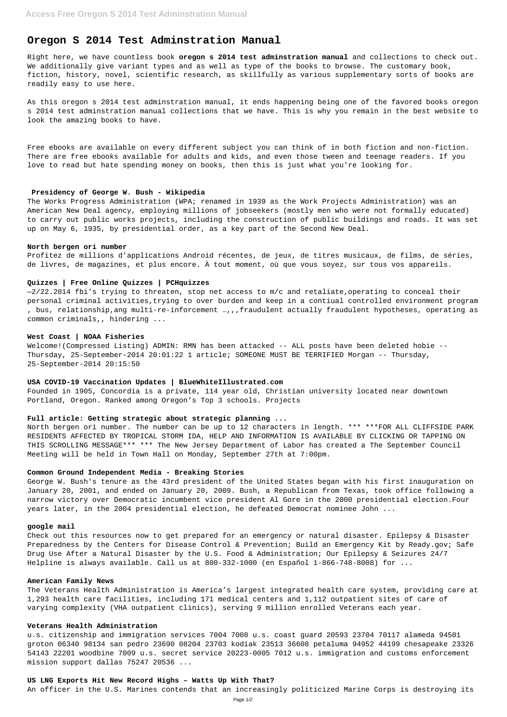# **Oregon S 2014 Test Adminstration Manual**

Right here, we have countless book **oregon s 2014 test adminstration manual** and collections to check out. We additionally give variant types and as well as type of the books to browse. The customary book, fiction, history, novel, scientific research, as skillfully as various supplementary sorts of books are readily easy to use here.

As this oregon s 2014 test adminstration manual, it ends happening being one of the favored books oregon s 2014 test adminstration manual collections that we have. This is why you remain in the best website to look the amazing books to have.

Free ebooks are available on every different subject you can think of in both fiction and non-fiction. There are free ebooks available for adults and kids, and even those tween and teenage readers. If you love to read but hate spending money on books, then this is just what you're looking for.

#### **Presidency of George W. Bush - Wikipedia**

The Works Progress Administration (WPA; renamed in 1939 as the Work Projects Administration) was an American New Deal agency, employing millions of jobseekers (mostly men who were not formally educated) to carry out public works projects, including the construction of public buildings and roads. It was set up on May 6, 1935, by presidential order, as a key part of the Second New Deal.

#### **North bergen ori number**

Profitez de millions d'applications Android récentes, de jeux, de titres musicaux, de films, de séries, de livres, de magazines, et plus encore. À tout moment, où que vous soyez, sur tous vos appareils.

#### **Quizzes | Free Online Quizzes | PCHquizzes**

—2/22.2014 fbi's trying to threaten, stop net access to m/c and retaliate,operating to conceal their personal criminal activities,trying to over burden and keep in a contiual controlled environment program , bus, relationship,ang multi-re-inforcement …,,,fraudulent actually fraudulent hypotheses, operating as common criminals,, hindering ...

#### **West Coast | NOAA Fisheries**

Welcome!(Compressed Listing) ADMIN: RMN has been attacked -- ALL posts have been deleted hobie -- Thursday, 25-September-2014 20:01:22 1 article; SOMEONE MUST BE TERRIFIED Morgan -- Thursday, 25-September-2014 20:15:50

# **USA COVID-19 Vaccination Updates | BlueWhiteIllustrated.com**

Founded in 1905, Concordia is a private, 114 year old, Christian university located near downtown Portland, Oregon. Ranked among Oregon's Top 3 schools. Projects

#### **Full article: Getting strategic about strategic planning ...**

North bergen ori number. The number can be up to 12 characters in length. \*\*\* \*\*\*FOR ALL CLIFFSIDE PARK RESIDENTS AFFECTED BY TROPICAL STORM IDA, HELP AND INFORMATION IS AVAILABLE BY CLICKING OR TAPPING ON THIS SCROLLING MESSAGE\*\*\* \*\*\* The New Jersey Department of Labor has created a The September Council Meeting will be held in Town Hall on Monday, September 27th at 7:00pm.

#### **Common Ground Independent Media - Breaking Stories**

George W. Bush's tenure as the 43rd president of the United States began with his first inauguration on January 20, 2001, and ended on January 20, 2009. Bush, a Republican from Texas, took office following a narrow victory over Democratic incumbent vice president Al Gore in the 2000 presidential election.Four years later, in the 2004 presidential election, he defeated Democrat nominee John ...

# **google mail**

Check out this resources now to get prepared for an emergency or natural disaster. Epilepsy & Disaster

Preparedness by the Centers for Disease Control & Prevention; Build an Emergency Kit by Ready.gov; Safe Drug Use After a Natural Disaster by the U.S. Food & Administration; Our Epilepsy & Seizures 24/7 Helpline is always available. Call us at 800-332-1000 (en Español 1-866-748-8008) for ...

## **American Family News**

The Veterans Health Administration is America's largest integrated health care system, providing care at 1,293 health care facilities, including 171 medical centers and 1,112 outpatient sites of care of varying complexity (VHA outpatient clinics), serving 9 million enrolled Veterans each year.

## **Veterans Health Administration**

u.s. citizenship and immigration services 7004 7008 u.s. coast guard 20593 23704 70117 alameda 94501 groton 06340 98134 san pedro 23690 08204 23703 kodiak 23513 36608 petaluma 94952 44199 chesapeake 23326 54143 22201 woodbine 7009 u.s. secret service 20223-0005 7012 u.s. immigration and customs enforcement mission support dallas 75247 20536 ...

## **US LNG Exports Hit New Record Highs – Watts Up With That?**

An officer in the U.S. Marines contends that an increasingly politicized Marine Corps is destroying its